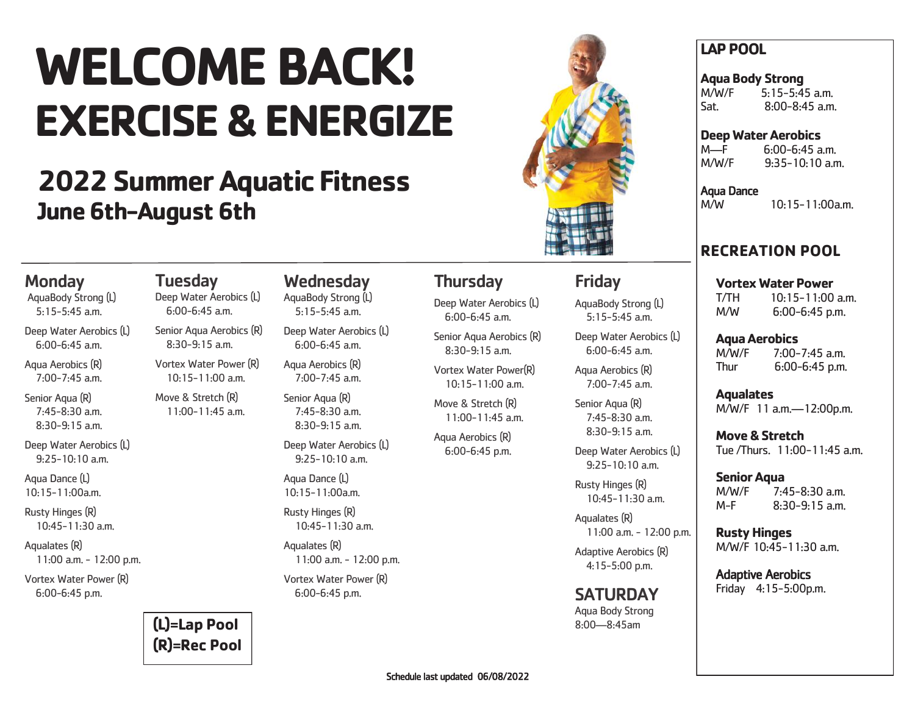# **WELCOME BACK! EXERCISE & ENERGIZE**

## **2022 Summer Aquatic Fitness June 6th-August 6th**

**Tuesday** 

Deep Water Aerobics (L) 6:00-6:45 a.m. Senior Aqua Aerobics (R) 8:30-9:15 a.m. Vortex Water Power (R) 10:15-11:00 a.m. Move & Stretch (R)  $11 \cdot 00 - 11 \cdot 45$  a.m.



### Friday

AquaBody Strong (L) 5:15-5:45 a.m.

Deep Water Aerobics (L) 6:00-6:45 a.m.

Aqua Aerobics (R) 7:00-7:45 a.m.

Senior Agua (R) 7:45-8:30 a.m. 8:30-9:15 a.m.

Deep Water Aerobics (L) 9:25-10:10 a.m.

Rusty Hinges (R) 10:45-11:30 a.m.

11:00 a.m. - 12:00 p.m.

4:15-5:00 p.m.

**SATURDAY** Aqua Body Strong 8:00—8:45am

### **LAP POOL**

**Aqua Body Strong**  M/W/F 5:15-5:45 a.m. Sat. 8:00-8:45 a.m.

**Deep Water Aerobics**

M—F 6:00-6:45 a.m.<br>M/W/F 9:35-10:10 a m  $9.35 - 10.10$  a.m.

Aqua Dance M/W 10:15-11:00a.m.

### **RECREATION POOL**

**Vortex Water Power** T/TH 10:15-11:00 a.m. M/W 6:00-6:45 p.m.

**Aqua Aerobics**  M/W/F 7:00-7:45 a.m. Thur 6:00-6:45 p.m.

**Aqualates** M/W/F 11 a.m.—12:00p.m.

**Move & Stretch**  Tue /Thurs. 11:00-11:45 a.m.

**Senior Aqua** M/W/F 7:45-8:30 a.m. M-F 8:30-9:15 a.m.

**Rusty Hinges** M/W/F 10:45-11:30 a.m.

Adaptive Aerobics Friday 4:15-5:00p.m.

### Monday

AquaBody Strong (L) 5:15-5:45 a.m.

Deep Water Aerobics (L) 6:00-6:45 a.m.

Aqua Aerobics (R)  $7.00 - 7.45$  a.m.

Senior Aqua (R) 7:45-8:30 a.m. 8:30-9:15 a.m.

Deep Water Aerobics (L) 9:25-10:10 a.m.

Aqua Dance (L)  $10.15 - 11.00a$  m

Rusty Hinges (R) 10:45-11:30 a.m.

Aqualates (R) 11:00 a.m. - 12:00 p.m.

Vortex Water Power (R) 6:00-6:45 p.m.

> **(L)=Lap Pool (R)=Rec Pool**

### **Wednesday**

AquaBody Strong (L) 5:15-5:45 a.m.

Deep Water Aerobics (L) 6:00-6:45 a.m.

Aqua Aerobics (R)  $7.00 - 7.45$  a.m.

Senior Aqua (R) 7:45-8:30 a.m. 8:30-9:15 a.m.

Deep Water Aerobics (L) 9:25-10:10 a.m.

Aqua Dance (L)  $10.15 - 11.00a$  m

Rusty Hinges (R) 10:45-11:30 a.m.

Aqualates (R) 11:00 a.m. - 12:00 p.m.

Vortex Water Power (R) 6:00-6:45 p.m.

### **Thursday**

Deep Water Aerobics (L) 6:00-6:45 a.m.

Senior Aqua Aerobics (R)  $8.30 - 9.15$  a.m.

Vortex Water Power(R) 10:15-11:00 a.m.

Move & Stretch (R) 11:00-11:45 a.m.

Aqua Aerobics (R) 6:00-6:45 p.m.

Aqualates (R)

Adaptive Aerobics (R)

Schedule last updated 06/08/2022